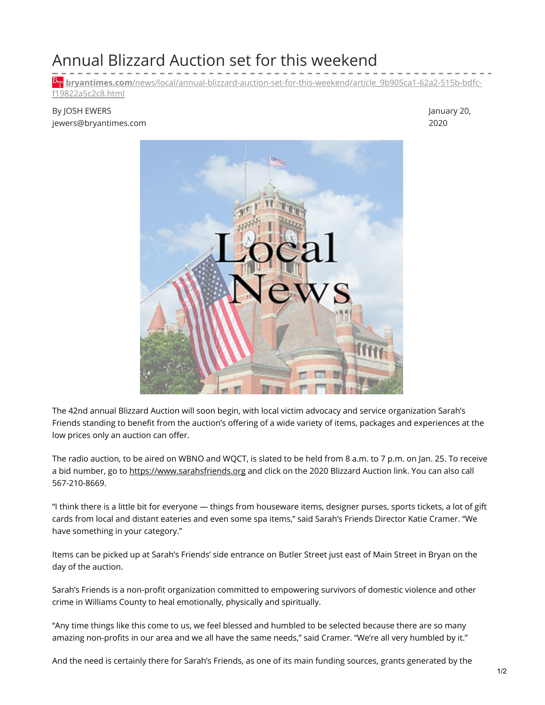## Annual Blizzard Auction set for this weekend

**bryantimes.com**[/news/local/annual-blizzard-auction-set-for-this-weekend/article\\_9b905ca1-62a2-515b-bdfc](https://www.bryantimes.com/news/local/annual-blizzard-auction-set-for-this-weekend/article_9b905ca1-62a2-515b-bdfc-f19822a5c2c8.html)f19822a5c2c8.html

## By JOSH EWERS jewers@bryantimes.com

January 20, 2020



The 42nd annual Blizzard Auction will soon begin, with local victim advocacy and service organization Sarah's Friends standing to benefit from the auction's offering of a wide variety of items, packages and experiences at the low prices only an auction can offer.

The radio auction, to be aired on WBNO and WQCT, is slated to be held from 8 a.m. to 7 p.m. on Jan. 25. To receive a bid number, go to [https://www.sarahsfriends.org](https://www.sarahsfriends.org/) and click on the 2020 Blizzard Auction link. You can also call 567-210-8669.

"I think there is a little bit for everyone — things from houseware items, designer purses, sports tickets, a lot of gift cards from local and distant eateries and even some spa items," said Sarah's Friends Director Katie Cramer. "We have something in your category."

Items can be picked up at Sarah's Friends' side entrance on Butler Street just east of Main Street in Bryan on the day of the auction.

Sarah's Friends is a non-profit organization committed to empowering survivors of domestic violence and other crime in Williams County to heal emotionally, physically and spiritually.

"Any time things like this come to us, we feel blessed and humbled to be selected because there are so many amazing non-profits in our area and we all have the same needs," said Cramer. "We're all very humbled by it."

And the need is certainly there for Sarah's Friends, as one of its main funding sources, grants generated by the